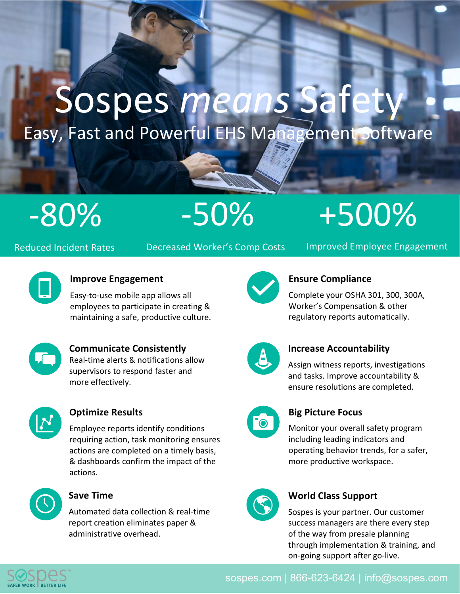# Sospes *means* Safety Easy, Fast and Powerful EHS Management Software

-80% -50%

# +500%

Reduced Incident Rates

Decreased Worker's Comp Costs

Improved Employee Engagement



#### **Improve Engagement**

Easy-to-use mobile app allows all employees to participate in creating & maintaining a safe, productive culture.



**Communicate Consistently**  Real-time alerts & notifications allow supervisors to respond faster and more effectively.



#### **Optimize Results**

Employee reports identify conditions requiring action, task monitoring ensures actions are completed on a timely basis, & dashboards confirm the impact of the actions.



#### **Save Time**

Automated data collection & real-time report creation eliminates paper & administrative overhead.



#### **Ensure Compliance**

Complete your OSHA 301, 300, 300A, Worker's Compensation & other regulatory reports automatically.



#### **Increase Accountability**

Assign witness reports, investigations and tasks. Improve accountability & ensure resolutions are completed.

#### **Big Picture Focus**

Monitor your overall safety program including leading indicators and operating behavior trends, for a safer, more productive workspace.



#### **World Class Support**

Sospes is your partner. Our customer success managers are there every step of the way from presale planning through implementation & training, and on-going support after go-live.



sospes.com | 866-623-6424 | info@sospes.com